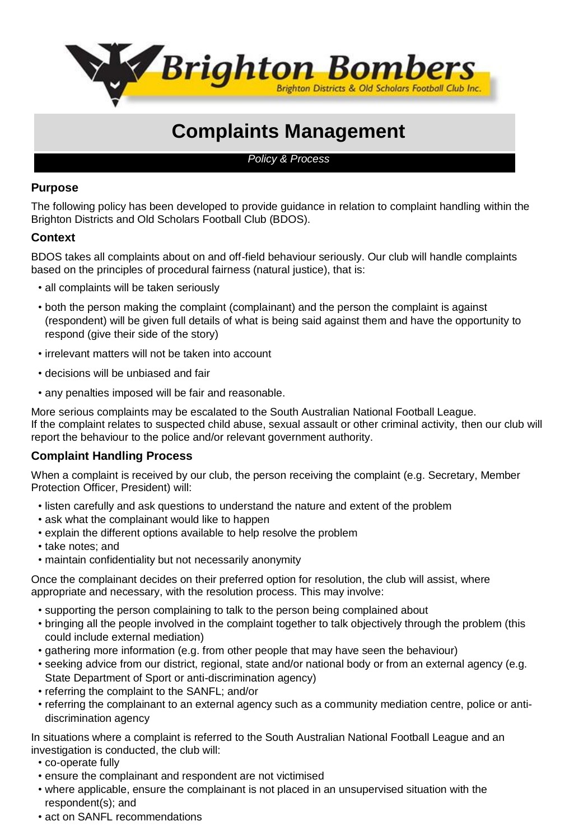

# **Complaints Management**

*Policy & Process*

## **Purpose**

The following policy has been developed to provide guidance in relation to complaint handling within the Brighton Districts and Old Scholars Football Club (BDOS).

## **Context**

BDOS takes all complaints about on and off-field behaviour seriously. Our club will handle complaints based on the principles of procedural fairness (natural justice), that is:

- all complaints will be taken seriously
- both the person making the complaint (complainant) and the person the complaint is against (respondent) will be given full details of what is being said against them and have the opportunity to respond (give their side of the story)
- irrelevant matters will not be taken into account
- decisions will be unbiased and fair
- any penalties imposed will be fair and reasonable.

More serious complaints may be escalated to the South Australian National Football League. If the complaint relates to suspected child abuse, sexual assault or other criminal activity, then our club will report the behaviour to the police and/or relevant government authority.

### **Complaint Handling Process**

When a complaint is received by our club, the person receiving the complaint (e.g. Secretary, Member Protection Officer, President) will:

- listen carefully and ask questions to understand the nature and extent of the problem
- ask what the complainant would like to happen
- explain the different options available to help resolve the problem
- take notes; and
- maintain confidentiality but not necessarily anonymity

Once the complainant decides on their preferred option for resolution, the club will assist, where appropriate and necessary, with the resolution process. This may involve:

- supporting the person complaining to talk to the person being complained about
- bringing all the people involved in the complaint together to talk objectively through the problem (this could include external mediation)
- gathering more information (e.g. from other people that may have seen the behaviour)
- seeking advice from our district, regional, state and/or national body or from an external agency (e.g. State Department of Sport or anti-discrimination agency)
- referring the complaint to the SANFL; and/or
- referring the complainant to an external agency such as a community mediation centre, police or antidiscrimination agency

In situations where a complaint is referred to the South Australian National Football League and an investigation is conducted, the club will:

- co-operate fully
- ensure the complainant and respondent are not victimised
- where applicable, ensure the complainant is not placed in an unsupervised situation with the respondent(s); and
- act on SANFL recommendations